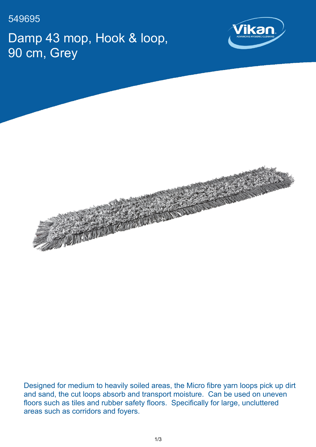549695

Damp 43 mop, Hook & loop, 90 cm, Grey





Designed for medium to heavily soiled areas, the Micro fibre yarn loops pick up dirt and sand, the cut loops absorb and transport moisture. Can be used on uneven floors such as tiles and rubber safety floors. Specifically for large, uncluttered areas such as corridors and foyers.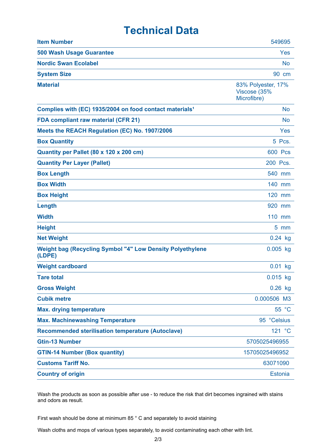## **Technical Data**

| <b>Item Number</b>                                                         | 549695                                            |
|----------------------------------------------------------------------------|---------------------------------------------------|
| <b>500 Wash Usage Guarantee</b>                                            | Yes                                               |
| <b>Nordic Swan Ecolabel</b>                                                | <b>No</b>                                         |
| <b>System Size</b>                                                         | 90 cm                                             |
| <b>Material</b>                                                            | 83% Polyester, 17%<br>Viscose (35%<br>Microfibre) |
| Complies with (EC) 1935/2004 on food contact materials <sup>1</sup>        | No                                                |
| <b>FDA compliant raw material (CFR 21)</b>                                 | <b>No</b>                                         |
| Meets the REACH Regulation (EC) No. 1907/2006                              | Yes                                               |
| <b>Box Quantity</b>                                                        | 5 Pcs.                                            |
| Quantity per Pallet (80 x 120 x 200 cm)                                    | <b>600 Pcs</b>                                    |
| <b>Quantity Per Layer (Pallet)</b>                                         | 200 Pcs.                                          |
| <b>Box Length</b>                                                          | 540 mm                                            |
| <b>Box Width</b>                                                           | 140 mm                                            |
| <b>Box Height</b>                                                          | 120 mm                                            |
| Length                                                                     | 920 mm                                            |
| <b>Width</b>                                                               | 110 mm                                            |
| <b>Height</b>                                                              | $5 \, \text{mm}$                                  |
| <b>Net Weight</b>                                                          | $0.24$ kg                                         |
| <b>Weight bag (Recycling Symbol "4" Low Density Polyethylene</b><br>(LDPE) | $0.005$ kg                                        |
| <b>Weight cardboard</b>                                                    | $0.01$ kg                                         |
| <b>Tare total</b>                                                          | $0.015$ kg                                        |
| <b>Gross Weight</b>                                                        | $0.26$ kg                                         |
| <b>Cubik metre</b>                                                         | 0.000506 M3                                       |
| <b>Max. drying temperature</b>                                             | 55 °C                                             |
| <b>Max. Machinewashing Temperature</b>                                     | 95 °Celsius                                       |
| <b>Recommended sterilisation temperature (Autoclave)</b>                   | 121 °C                                            |
| <b>Gtin-13 Number</b>                                                      | 5705025496955                                     |
| <b>GTIN-14 Number (Box quantity)</b>                                       | 15705025496952                                    |
| <b>Customs Tariff No.</b>                                                  | 63071090                                          |
| <b>Country of origin</b>                                                   | <b>Estonia</b>                                    |

Wash the products as soon as possible after use - to reduce the risk that dirt becomes ingrained with stains and odors as result.

First wash should be done at minimum 85 ° C and separately to avoid staining

Wash cloths and mops of various types separately, to avoid contaminating each other with lint.